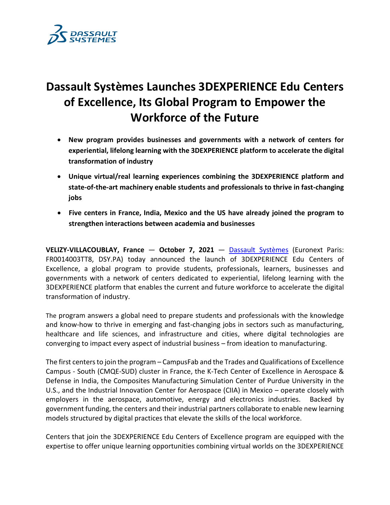

# **Dassault Systèmes Launches 3DEXPERIENCE Edu Centers of Excellence, Its Global Program to Empower the Workforce of the Future**

- **New program provides businesses and governments with a network of centers for experiential, lifelong learning with the 3DEXPERIENCE platform to accelerate the digital transformation of industry**
- **Unique virtual/real learning experiences combining the 3DEXPERIENCE platform and state-of-the-art machinery enable students and professionals to thrive in fast-changing jobs**
- **Five centers in France, India, Mexico and the US have already joined the program to strengthen interactions between academia and businesses**

**VELIZY-VILLACOUBLAY, France** — **October 7, 2021** — [Dassault Systèmes](http://www.3ds.com/) (Euronext Paris: FR0014003TT8, DSY.PA) today announced the launch of 3DEXPERIENCE Edu Centers of Excellence, a global program to provide students, professionals, learners, businesses and governments with a network of centers dedicated to experiential, lifelong learning with the 3DEXPERIENCE platform that enables the current and future workforce to accelerate the digital transformation of industry.

The program answers a global need to prepare students and professionals with the knowledge and know-how to thrive in emerging and fast-changing jobs in sectors such as manufacturing, healthcare and life sciences, and infrastructure and cities, where digital technologies are converging to impact every aspect of industrial business – from ideation to manufacturing.

The first centers to join the program – CampusFab and the Trades and Qualifications of Excellence Campus - South (CMQE-SUD) cluster in France, the K-Tech Center of Excellence in Aerospace & Defense in India, the Composites Manufacturing Simulation Center of Purdue University in the U.S., and the Industrial Innovation Center for Aerospace (CIIA) in Mexico – operate closely with employers in the aerospace, automotive, energy and electronics industries. Backed by government funding, the centers and their industrial partners collaborate to enable new learning models structured by digital practices that elevate the skills of the local workforce.

Centers that join the 3DEXPERIENCE Edu Centers of Excellence program are equipped with the expertise to offer unique learning opportunities combining virtual worlds on the 3DEXPERIENCE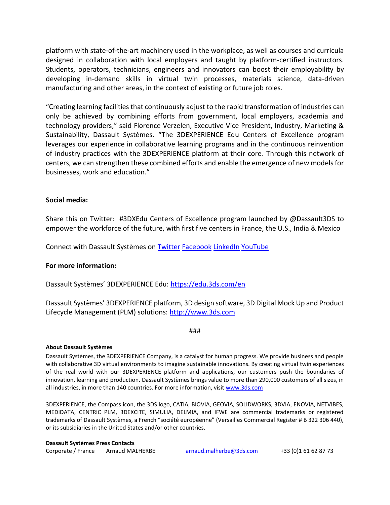platform with state-of-the-art machinery used in the workplace, as well as courses and curricula designed in collaboration with local employers and taught by platform-certified instructors. Students, operators, technicians, engineers and innovators can boost their employability by developing in-demand skills in virtual twin processes, materials science, data-driven manufacturing and other areas, in the context of existing or future job roles.

"Creating learning facilities that continuously adjust to the rapid transformation of industries can only be achieved by combining efforts from government, local employers, academia and technology providers," said Florence Verzelen, Executive Vice President, Industry, Marketing & Sustainability, Dassault Systèmes. "The 3DEXPERIENCE Edu Centers of Excellence program leverages our experience in collaborative learning programs and in the continuous reinvention of industry practices with the 3DEXPERIENCE platform at their core. Through this network of centers, we can strengthen these combined efforts and enable the emergence of new models for businesses, work and education."

## **Social media:**

Share this on Twitter: #3DXEdu Centers of Excellence program launched by @Dassault3DS to empower the workforce of the future, with first five centers in France, the U.S., India & Mexico

Connect with Dassault Systèmes on [Twitter](https://twitter.com/Dassault3DS) [Facebook](https://www.facebook.com/DassaultSystemes) [LinkedIn](https://www.linkedin.com/company/dassaultsystemes) [YouTube](https://www.youtube.com/DassaultSystemes)

## **For more information:**

Dassault Systèmes' 3DEXPERIENCE Edu: <https://edu.3ds.com/en>

Dassault Systèmes' 3DEXPERIENCE platform, 3D design software, 3D Digital Mock Up and Product Lifecycle Management (PLM) solutions: [http://www.3ds.com](http://www.3ds.com/)

###

### **About Dassault Systèmes**

Dassault Systèmes, the 3DEXPERIENCE Company, is a catalyst for human progress. We provide business and people with collaborative 3D virtual environments to imagine sustainable innovations. By creating virtual twin experiences of the real world with our 3DEXPERIENCE platform and applications, our customers push the boundaries of innovation, learning and production. Dassault Systèmes brings value to more than 290,000 customers of all sizes, in all industries, in more than 140 countries. For more information, visit [www.3ds.com](http://www.3ds.com/)

3DEXPERIENCE, the Compass icon, the 3DS logo, CATIA, BIOVIA, GEOVIA, SOLIDWORKS, 3DVIA, ENOVIA, NETVIBES, MEDIDATA, CENTRIC PLM, 3DEXCITE, SIMULIA, DELMIA, and IFWE are commercial trademarks or registered trademarks of Dassault Systèmes, a French "société européenne" (Versailles Commercial Register # B 322 306 440), or its subsidiaries in the United States and/or other countries.

### **Dassault Systèmes Press Contacts**

Corporate / France Arnaud MALHERBE [arnaud.malherbe@3ds.com](mailto:arnaud.malherbe@3ds.com) +33 (0)1 61 62 87 73